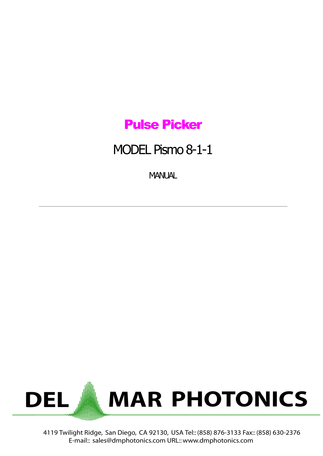### Pulse Picker

## MODEL Pismo 8-1-1

**MANUAL** 



4119 Twilight Ridge, San Diego, CA 92130, USA Tel:: (858) 876-3133 Fax:: (858) 630-2376 E-mail:: sales@dmphotonics.com URL:: www.dmphotonics.com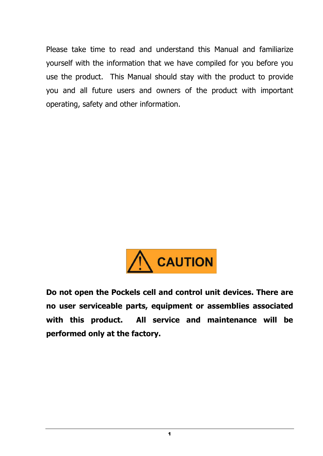Please take time to read and understand this Manual and familiarize yourself with the information that we have compiled for you before you use the product. This Manual should stay with the product to provide you and all future users and owners of the product with important operating, safety and other information.



**Do not open the Pockels cell and control unit devices. There are no user serviceable parts, equipment or assemblies associated with this product. All service and maintenance will be performed only at the factory.**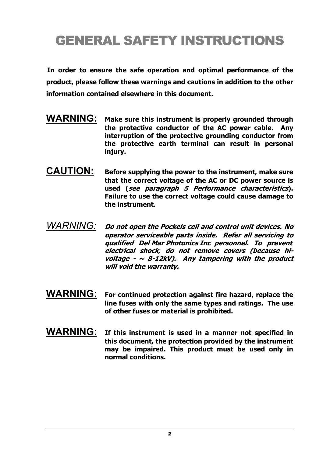## GENERAL SAFETY INSTRUCTIONS

**In order to ensure the safe operation and optimal performance of the product, please follow these warnings and cautions in addition to the other information contained elsewhere in this document.**

- **WARNING: Make sure this instrument is properly grounded through the protective conductor of the AC power cable. Any interruption of the protective grounding conductor from the protective earth terminal can result in personal injury.**
- **CAUTION: Before supplying the power to the instrument, make sure that the correct voltage of the AC or DC power source is used (see paragraph 5 Performance characteristics). Failure to use the correct voltage could cause damage to the instrument.**
- *WARNING:* **Do not open the Pockels cell and control unit devices. No operator serviceable parts inside. Refer all servicing to qualified Del Mar Photonics Inc personnel. To prevent electrical shock, do not remove covers (because hivoltage - <sup>~</sup> 8-12kV). Any tampering with the product will void the warranty.**
- **WARNING: For continued protection against fire hazard, replace the line fuses with only the same types and ratings. The use of other fuses or material is prohibited.**
- **WARNING: If this instrument is used in <sup>a</sup> manner not specified in this document, the protection provided by the instrument may be impaired. This product must be used only in normal conditions.**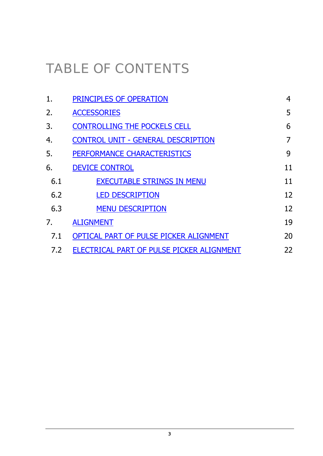# TABLE OF CONTENTS

| 1.  | PRINCIPLES OF OPERATION                   | 4  |
|-----|-------------------------------------------|----|
| 2.  | <b>ACCESSORIES</b>                        | 5  |
| 3.  | <b>CONTROLLING THE POCKELS CELL</b>       | 6  |
| 4.  | <b>CONTROL UNIT - GENERAL DESCRIPTION</b> | 7  |
| 5.  | <b>PERFORMANCE CHARACTERISTICS</b>        | 9  |
| 6.  | <b>DEVICE CONTROL</b>                     | 11 |
| 6.1 | <b>EXECUTABLE STRINGS IN MENU</b>         | 11 |
| 6.2 | <b>LED DESCRIPTION</b>                    | 12 |
| 6.3 | <b>MENU DESCRIPTION</b>                   | 12 |
| 7.  | <b>ALIGNMENT</b>                          | 19 |
| 7.1 | OPTICAL PART OF PULSE PICKER ALIGNMENT    | 20 |
| 7.2 | ELECTRICAL PART OF PULSE PICKER ALIGNMENT | 22 |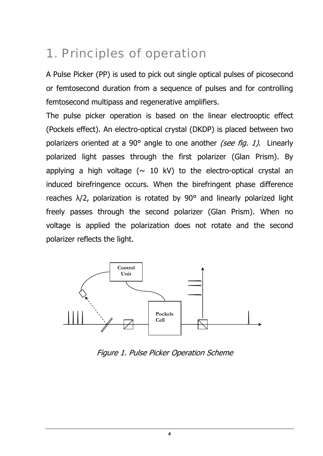## 1. Principles of operation

A Pulse Picker (PP) is used to pick out single optical pulses of picosecond or femtosecond duration from a sequence of pulses and for controlling femtosecond multipass and regenerative amplifiers.

The pulse picker operation is based on the linear electrooptic effect (Pockels effect). An electro-optical crystal (DKDP) is placed between two polarizers oriented at a 90 $^{\circ}$  angle to one another *(see fig. 1)*. Linearly polarized light passes through the first polarizer (Glan Prism). By applying a high voltage ( $\sim$  10 kV) to the electro-optical crystal an induced birefringence occurs. When the birefringent phase difference reaches  $\lambda/2$ , polarization is rotated by 90 $^{\circ}$  and linearly polarized light freely passes through the second polarizer (Glan Prism). When no voltage is applied the polarization does not rotate and the second polarizer reflects the light.



Figure 1. Pulse Picker Operation Scheme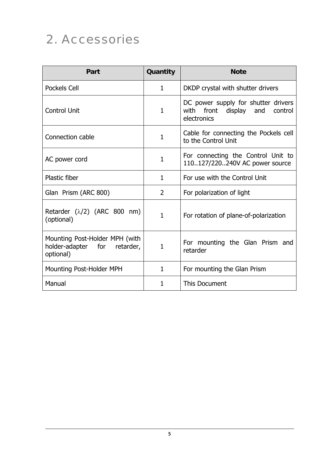## 2. Accessories

| Part                                                                           | Quantity       | <b>Note</b>                                                                                |
|--------------------------------------------------------------------------------|----------------|--------------------------------------------------------------------------------------------|
| Pockels Cell                                                                   | 1              | DKDP crystal with shutter drivers                                                          |
| <b>Control Unit</b>                                                            | 1              | DC power supply for shutter drivers<br>with front<br>display and<br>control<br>electronics |
| Connection cable                                                               | $\mathbf{1}$   | Cable for connecting the Pockels cell<br>to the Control Unit                               |
| AC power cord                                                                  | 1              | For connecting the Control Unit to<br>110127/220240V AC power source                       |
| <b>Plastic fiber</b>                                                           | $\mathbf{1}$   | For use with the Control Unit                                                              |
| Glan Prism (ARC 800)                                                           | $\overline{2}$ | For polarization of light                                                                  |
| Retarder $(\lambda/2)$ (ARC 800 nm)<br>(optional)                              | $\mathbf{1}$   | For rotation of plane-of-polarization                                                      |
| Mounting Post-Holder MPH (with<br>holder-adapter for<br>retarder,<br>optional) | 1              | For mounting the Glan Prism and<br>retarder                                                |
| Mounting Post-Holder MPH                                                       | $\mathbf{1}$   | For mounting the Glan Prism                                                                |
| Manual                                                                         | 1              | This Document                                                                              |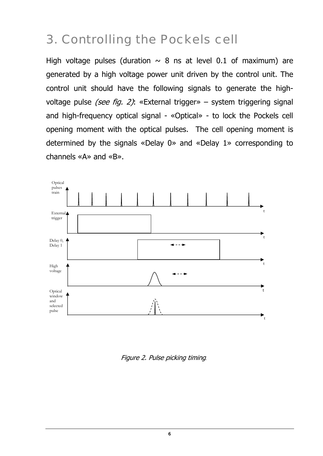## 3. Controlling the Pockels cell

High voltage pulses (duration  $\sim$  8 ns at level 0.1 of maximum) are generated by a high voltage power unit driven by the control unit. The control unit should have the following signals to generate the highvoltage pulse *(see fig. 2)*: «External trigger» – system triggering signal and high-frequency optical signal - «Optical» - to lock the Pockels cell opening moment with the optical pulses. The cell opening moment is determined by the signals «Delay 0» and «Delay 1» corresponding to channels «A» and «B».



Figure 2. Pulse picking timing**.**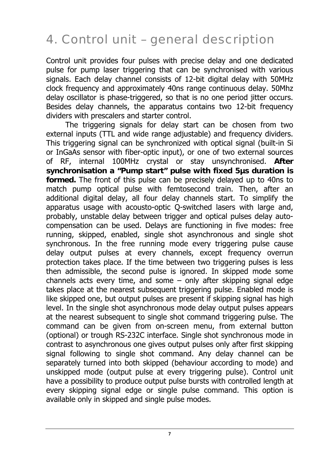## 4. Control unit – general description

Control unit provides four pulses with precise delay and one dedicated pulse for pump laser triggering that can be synchronised with various signals. Each delay channel consists of 12-bit digital delay with 50MHz clock frequency and approximately 40ns range continuous delay. 50Mhz delay oscillator is phase-triggered, so that is no one period jitter occurs. Besides delay channels, the apparatus contains two 12-bit frequency dividers with prescalers and starter control.

The triggering signals for delay start can be chosen from two external inputs (TTL and wide range adjustable) and frequency dividers. This triggering signal can be synchronized with optical signal (built-in Si or InGaAs sensor with fiber-optic input), or one of two external sources of RF, internal 100MHz crystal or stay unsynchronised. **After synchronisation a "Pump start" pulse with fixed 5µs duration is formed.** The front of this pulse can be precisely delayed up to 40ns to match pump optical pulse with femtosecond train. Then, after an additional digital delay, all four delay channels start. To simplify the apparatus usage with acousto-optic Q-switched lasers with large and, probably, unstable delay between trigger and optical pulses delay autocompensation can be used. Delays are functioning in five modes: free running, skipped, enabled, single shot asynchronous and single shot synchronous. In the free running mode every triggering pulse cause delay output pulses at every channels, except frequency overrun protection takes place. If the time between two triggering pulses is less then admissible, the second pulse is ignored. In skipped mode some channels acts every time, and some  $-$  only after skipping signal edge takes place at the nearest subsequent triggering pulse. Enabled mode is like skipped one, but output pulses are present if skipping signal has high level. In the single shot asynchronous mode delay output pulses appears at the nearest subsequent to single shot command triggering pulse. The command can be given from on-screen menu, from external button (optional) or trough RS-232C interface. Single shot synchronous mode in contrast to asynchronous one gives output pulses only after first skipping signal following to single shot command. Any delay channel can be separately turned into both skipped (behaviour according to mode) and unskipped mode (output pulse at every triggering pulse). Control unit have a possibility to produce output pulse bursts with controlled length at every skipping signal edge or single pulse command. This option is available only in skipped and single pulse modes.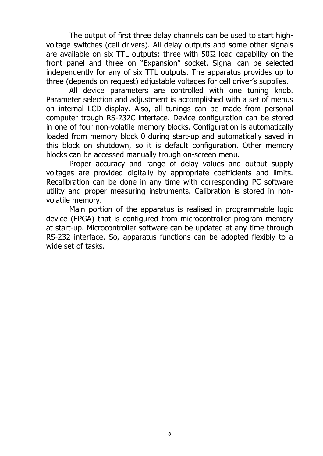The output of first three delay channels can be used to start highvoltage switches (cell drivers). All delay outputs and some other signals are available on six TTL outputs: three with 50Ώ load capability on the front panel and three on "Expansion" socket. Signal can be selected independently for any of six TTL outputs. The apparatus provides up to three (depends on request) adjustable voltages for cell driver's supplies.

All device parameters are controlled with one tuning knob. Parameter selection and adjustment is accomplished with a set of menus on internal LCD display. Also, all tunings can be made from personal computer trough RS-232C interface. Device configuration can be stored in one of four non-volatile memory blocks. Configuration is automatically loaded from memory block 0 during start-up and automatically saved in this block on shutdown, so it is default configuration. Other memory blocks can be accessed manually trough on-screen menu.

Proper accuracy and range of delay values and output supply voltages are provided digitally by appropriate coefficients and limits. Recalibration can be done in any time with corresponding PC software utility and proper measuring instruments. Calibration is stored in nonvolatile memory.

Main portion of the apparatus is realised in programmable logic device (FPGA) that is configured from microcontroller program memory at start-up. Microcontroller software can be updated at any time through RS-232 interface. So, apparatus functions can be adopted flexibly to a wide set of tasks.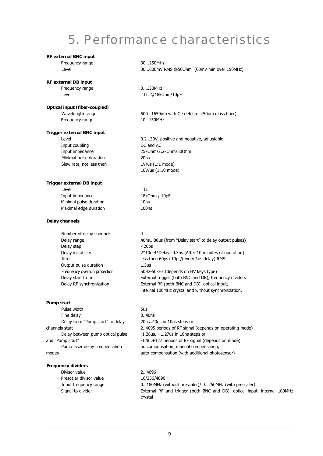### 5. Performance characteristics

### **RF external BNC input**

Frequency range 30...250MHz

### **RF external DB input**

Frequency range 0...130MHz

#### **Optical input (fiber-coupled)**

Frequency range 10...150MHz

### **Trigger external BNC input**

Input coupling and AC and AC Minimal pulse duration 20ns Slew rate, not less then  $1 \text{V/us} (1:1 \text{ mode})$ 

#### **Trigger external DB input**

Level TTL Input impedance 18kOhm / 10pF Minimal pulse duration 10ns Maximal edge duration 100ns

#### **Delay channels**

Number of delay channels 4 Delay step <20ps Output pulse duration 1.3us Delay RF synchronization:

### **Pump start**

Pulse width Fine delay Delay from "Pump start" to delay channels start Delay between pump optical pulse and "Pump start" Pump laser delay compensation modes

#### **Frequency dividers**

Divisor value 2...4096 Prescaler divisor value 16/256/4096

Level 30...600mV RMS @50Ohm (60mV min over 150MHz)

Level **Level TTL @18kOhm/10pF** 

Wavelength range 500…1650nm with Ge detector (50um glass fiber)

Level **Level 1.2** Conserved the U.2...30V, positive and negative, adjustable Input impedance 25kOhm/2.2kOhm/50Ohm 10V/us (1:10 mode)

Delay range The Australian Music (from "Delay start" to delay output pulses) Delay instability 2\*10e-4\*Delay+0.3ns (After 10 minutes of operation) Jitter less then 60ps+10ps/(every 1us delay) RMS Frequency overrun protection 50Hz-50kHz (depends on HV keys type) Delay start from: External trigger (both BNC and DB), frequency dividers External RF (both BNC and DB), optical input, internal 100MHz crystal and without synchronization.

5us

0..40ns 20ns..40us in 10ns steps or 2..4095 periods of RF signal (depends on operating mode) -1.28us..+1.27us in 10ns steps or -128..+127 periods of RF signal (depends on mode) no compensation, manual compensation, auto-compensation (with additional photosensor)

Input frequency range 0…180MHz (without prescaler)/ 0…250MHz (with prescaler) Signal to divide: External RF and trigger (both BNC and DB), optical input, internal 100MHz crystal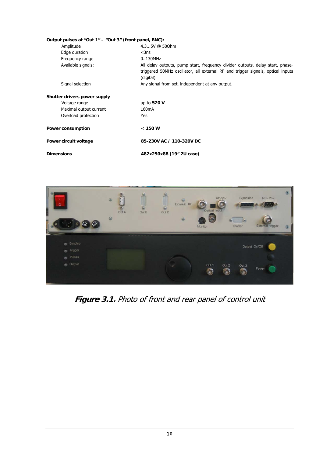| Output pulses at "Out 1" - "Out 3" (front panel, BNC): |                                                                                                                                                                               |
|--------------------------------------------------------|-------------------------------------------------------------------------------------------------------------------------------------------------------------------------------|
| Amplitude                                              | 4.35V @ 500hm                                                                                                                                                                 |
| Edge duration                                          | $<$ 3ns                                                                                                                                                                       |
| Frequency range                                        | $0.130$ MHz                                                                                                                                                                   |
| Available signals:                                     | All delay outputs, pump start, frequency divider outputs, delay start, phase-<br>triggered 50MHz oscillator, all external RF and trigger signals, optical inputs<br>(digital) |
| Signal selection                                       | Any signal from set, independent at any output.                                                                                                                               |
| Shutter drivers power supply                           |                                                                                                                                                                               |
| Voltage range                                          | up to 520 V                                                                                                                                                                   |
| Maximal output current                                 | 160 <sub>m</sub> A                                                                                                                                                            |
| Overload protection                                    | Yes                                                                                                                                                                           |
| Power consumption                                      | < 150 W                                                                                                                                                                       |
| Power circuit voltage                                  | 85-230V AC / 110-320V DC                                                                                                                                                      |
| <b>Dimensions</b>                                      | 482x250x88 (19" 2U case)                                                                                                                                                      |



**Figure 3.1.** Photo of front and rear panel of control unit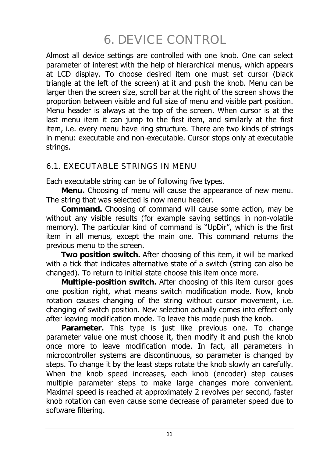## 6. DEVICE CONTROL

Almost all device settings are controlled with one knob. One can select parameter of interest with the help of hierarchical menus, which appears at LCD display. To choose desired item one must set cursor (black triangle at the left of the screen) at it and push the knob. Menu can be larger then the screen size, scroll bar at the right of the screen shows the proportion between visible and full size of menu and visible part position. Menu header is always at the top of the screen. When cursor is at the last menu item it can jump to the first item, and similarly at the first item, i.e. every menu have ring structure. There are two kinds of strings in menu: executable and non-executable. Cursor stops only at executable strings.

### 6.1. EXECUTABLE STRINGS IN MENU

Each executable string can be of following five types.

**Menu.** Choosing of menu will cause the appearance of new menu. The string that was selected is now menu header.

**Command.** Choosing of command will cause some action, may be without any visible results (for example saving settings in non-volatile memory). The particular kind of command is "UpDir", which is the first item in all menus, except the main one. This command returns the previous menu to the screen.

**Two position switch.** After choosing of this item, it will be marked with a tick that indicates alternative state of a switch (string can also be changed). To return to initial state choose this item once more.

**Multiple-position switch.** After choosing of this item cursor goes one position right, what means switch modification mode. Now, knob rotation causes changing of the string without cursor movement, i.e. changing of switch position. New selection actually comes into effect only after leaving modification mode. To leave this mode push the knob.

**Parameter.** This type is just like previous one. To change parameter value one must choose it, then modify it and push the knob once more to leave modification mode. In fact, all parameters in microcontroller systems are discontinuous, so parameter is changed by steps. To change it by the least steps rotate the knob slowly an carefully. When the knob speed increases, each knob (encoder) step causes multiple parameter steps to make large changes more convenient. Maximal speed is reached at approximately 2 revolves per second, faster knob rotation can even cause some decrease of parameter speed due to software filtering.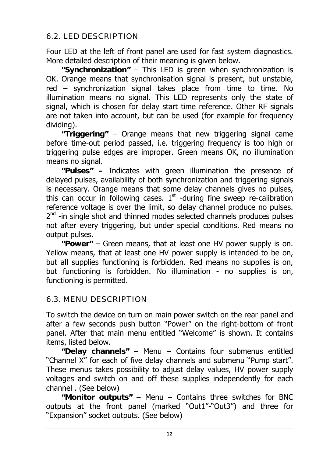### 6.2. LED DESCRIPTION

Four LED at the left of front panel are used for fast system diagnostics. More detailed description of their meaning is given below.

**"Synchronization"** – This LED is green when synchronization is OK. Orange means that synchronisation signal is present, but unstable, red – synchronization signal takes place from time to time. No illumination means no signal. This LED represents only the state of signal, which is chosen for delay start time reference. Other RF signals are not taken into account, but can be used (for example for frequency dividing).

**"Triggering"** – Orange means that new triggering signal came before time-out period passed, i.e. triggering frequency is too high or triggering pulse edges are improper. Green means OK, no illumination means no signal.

**"Pulses" –** Indicates with green illumination the presence of delayed pulses, availability of both synchronization and triggering signals is necessary. Orange means that some delay channels gives no pulses, this can occur in following cases.  $1<sup>st</sup>$  -during fine sweep re-calibration reference voltage is over the limit, so delay channel produce no pulses.  $2<sup>nd</sup>$  -in single shot and thinned modes selected channels produces pulses not after every triggering, but under special conditions. Red means no output pulses.

**"Power"** – Green means, that at least one HV power supply is on. Yellow means, that at least one HV power supply is intended to be on, but all supplies functioning is forbidden. Red means no supplies is on, but functioning is forbidden. No illumination - no supplies is on, functioning is permitted.

### 6.3. MENU DESCRIPTION

To switch the device on turn on main power switch on the rear panel and after a few seconds push button "Power" on the right-bottom of front panel. After that main menu entitled "Welcome" is shown. It contains items, listed below.

**"Delay channels"** – Menu – Contains four submenus entitled "Channel X" for each of five delay channels and submenu "Pump start". These menus takes possibility to adjust delay values, HV power supply voltages and switch on and off these supplies independently for each channel . (See below)

**"Monitor outputs"** – Menu – Contains three switches for BNC outputs at the front panel (marked "Out1"-"Out3") and three for "Expansion" socket outputs. (See below)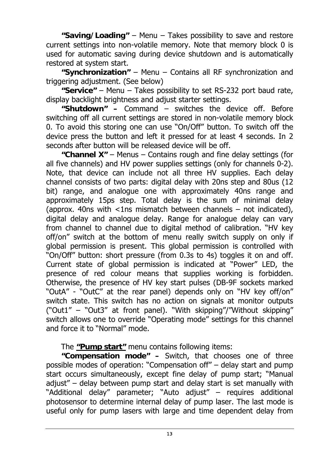**"Saving/Loading"** – Menu – Takes possibility to save and restore current settings into non-volatile memory. Note that memory block 0 is used for automatic saving during device shutdown and is automatically restored at system start.

**"Synchronization"** – Menu – Contains all RF synchronization and triggering adjustment. (See below)

**"Service"** – Menu – Takes possibility to set RS-232 port baud rate, display backlight brightness and adjust starter settings.

**"Shutdown" –** Command – switches the device off. Before switching off all current settings are stored in non-volatile memory block 0. To avoid this storing one can use "On/Off" button. To switch off the device press the button and left it pressed for at least 4 seconds. In 2 seconds after button will be released device will be off.

**"Channel X"** – Menus – Contains rough and fine delay settings (for all five channels) and HV power supplies settings (only for channels 0-2). Note, that device can include not all three HV supplies. Each delay channel consists of two parts: digital delay with 20ns step and 80us (12 bit) range, and analogue one with approximately 40ns range and approximately 15ps step. Total delay is the sum of minimal delay (approx. 40ns with  $\langle$ 1ns mismatch between channels – not indicated), digital delay and analogue delay. Range for analogue delay can vary from channel to channel due to digital method of calibration. "HV key off/on" switch at the bottom of menu really switch supply on only if global permission is present. This global permission is controlled with "On/Off" button: short pressure (from 0.3s to 4s) toggles it on and off. Current state of global permission is indicated at "Power" LED, the presence of red colour means that supplies working is forbidden. Otherwise, the presence of HV key start pulses (DB-9F sockets marked "OutA" - "OutC" at the rear panel) depends only on "HV key off/on" switch state. This switch has no action on signals at monitor outputs ("Out1" – "Out3" at front panel). "With skipping"/"Without skipping" switch allows one to override "Operating mode" settings for this channel and force it to "Normal" mode.

The **"Pump start"** menu contains following items:

**"Compensation mode" –** Switch, that chooses one of three possible modes of operation: "Compensation off" – delay start and pump start occurs simultaneously, except fine delay of pump start; "Manual adjust" – delay between pump start and delay start is set manually with "Additional delay" parameter; "Auto adjust" – requires additional photosensor to determine internal delay of pump laser. The last mode is useful only for pump lasers with large and time dependent delay from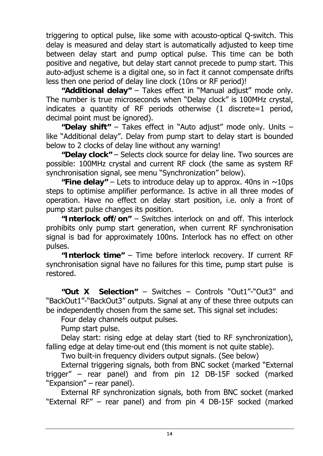triggering to optical pulse, like some with acousto-optical Q-switch. This delay is measured and delay start is automatically adjusted to keep time between delay start and pump optical pulse. This time can be both positive and negative, but delay start cannot precede to pump start. This auto-adjust scheme is a digital one, so in fact it cannot compensate drifts less then one period of delay line clock (10ns or RF period)!

**"Additional delay"** – Takes effect in "Manual adjust" mode only. The number is true microseconds when "Delay clock" is 100MHz crystal, indicates a quantity of RF periods otherwise (1 discrete=1 period, decimal point must be ignored).

**"Delay shift"** – Takes effect in "Auto adjust" mode only. Units – like "Additional delay". Delay from pump start to delay start is bounded below to 2 clocks of delay line without any warning!

**"Delay clock"** – Selects clock source for delay line. Two sources are possible: 100MHz crystal and current RF clock (the same as system RF synchronisation signal, see menu "Synchronization" below).

**"Fine delay"** – Lets to introduce delay up to approx. 40ns in  $\sim$ 10ps steps to optimise amplifier performance. Is active in all three modes of operation. Have no effect on delay start position, i.e. only a front of pump start pulse changes its position.

**"Interlock off/on"** – Switches interlock on and off. This interlock prohibits only pump start generation, when current RF synchronisation signal is bad for approximately 100ns. Interlock has no effect on other pulses.

**"Interlock time"** – Time before interlock recovery. If current RF synchronisation signal have no failures for this time, pump start pulse is restored.

**"Out X Selection"** – Switches – Controls "Out1"-"Out3" and "BackOut1"-"BackOut3" outputs. Signal at any of these three outputs can be independently chosen from the same set. This signal set includes:

Four delay channels output pulses.

Pump start pulse.

Delay start: rising edge at delay start (tied to RF synchronization), falling edge at delay time-out end (this moment is not quite stable).

Two built-in frequency dividers output signals. (See below)

External triggering signals, both from BNC socket (marked "External trigger" – rear panel) and from pin 12 DB-15F socked (marked "Expansion" – rear panel).

External RF synchronization signals, both from BNC socket (marked "External RF" – rear panel) and from pin 4 DB-15F socked (marked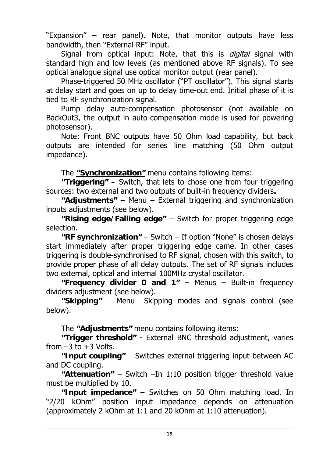"Expansion" – rear panel). Note, that monitor outputs have less bandwidth, then "External RF" input.

Signal from optical input: Note, that this is *digital* signal with standard high and low levels (as mentioned above RF signals). To see optical analogue signal use optical monitor output (rear panel).

Phase-triggered 50 MHz oscillator ("PT oscillator"). This signal starts at delay start and goes on up to delay time-out end. Initial phase of it is tied to RF synchronization signal.

Pump delay auto-compensation photosensor (not available on BackOut3, the output in auto-compensation mode is used for powering photosensor).

Note: Front BNC outputs have 50 Ohm load capability, but back outputs are intended for series line matching (50 Ohm output impedance).

The **"Synchronization"** menu contains following items:

**"Triggering" –** Switch, that lets to chose one from four triggering sources: two external and two outputs of built-in frequency dividers**.** 

**"Adjustments"** – Menu – External triggering and synchronization inputs adjustments (see below).

**"Rising edge/Falling edge"** – Switch for proper triggering edge selection.

**"RF synchronization"** – Switch – If option "None" is chosen delays start immediately after proper triggering edge came. In other cases triggering is double-synchronised to RF signal, chosen with this switch, to provide proper phase of all delay outputs. The set of RF signals includes two external, optical and internal 100MHz crystal oscillator.

**"Frequency divider 0 and 1"** – Menus – Built-in frequency dividers adjustment (see below).

**"Skipping"** – Menu –Skipping modes and signals control (see below).

The **"Adjustments"** menu contains following items:

**"Trigger threshold"** - External BNC threshold adjustment, varies from  $-3$  to  $+3$  Volts.

**"Input coupling"** – Switches external triggering input between AC and DC coupling.

**"Attenuation"** – Switch –In 1:10 position trigger threshold value must be multiplied by 10.

**"Input impedance"** – Switches on 50 Ohm matching load. In "2/20 kOhm" position input impedance depends on attenuation (approximately 2 kOhm at 1:1 and 20 kOhm at 1:10 attenuation).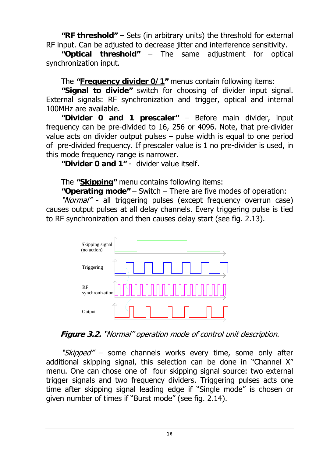**"RF threshold"** – Sets (in arbitrary units) the threshold for external RF input. Can be adjusted to decrease jitter and interference sensitivity.

**"Optical threshold"** – The same adjustment for optical synchronization input.

The **"Frequency divider 0/1"** menus contain following items:

**"Signal to divide"** switch for choosing of divider input signal. External signals: RF synchronization and trigger, optical and internal 100MHz are available.

**"Divider 0 and 1 prescaler"** – Before main divider, input frequency can be pre-divided to 16, 256 or 4096. Note, that pre-divider value acts on divider output pulses – pulse width is equal to one period of pre-divided frequency. If prescaler value is 1 no pre-divider is used, in this mode frequency range is narrower.

**"Divider 0 and 1"** - divider value itself.

The **"Skipping"** menu contains following items:

**"Operating mode"** – Switch – There are five modes of operation:

"Normal" - all triggering pulses (except frequency overrun case) causes output pulses at all delay channels. Every triggering pulse is tied to RF synchronization and then causes delay start (see fig. 2.13).



**Figure 3.2.** "Normal" operation mode of control unit description.

"Skipped" – some channels works every time, some only after additional skipping signal, this selection can be done in "Channel X" menu. One can chose one of four skipping signal source: two external trigger signals and two frequency dividers. Triggering pulses acts one time after skipping signal leading edge if "Single mode" is chosen or given number of times if "Burst mode" (see fig. 2.14).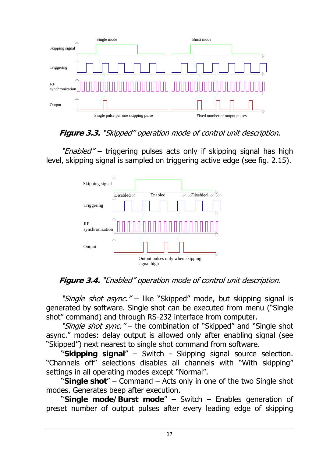

### **Figure 3.3.** "Skipped" operation mode of control unit description.

"*Enabled"* – triggering pulses acts only if skipping signal has high level, skipping signal is sampled on triggering active edge (see fig. 2.15).



**Figure 3.4.** "Enabled" operation mode of control unit description.

"*Single shot async.*" – like "Skipped" mode, but skipping signal is generated by software. Single shot can be executed from menu ("Single shot" command) and through RS-232 interface from computer.

"Single shot sync." – the combination of "Skipped" and "Single shot async." modes: delay output is allowed only after enabling signal (see "Skipped") next nearest to single shot command from software.

"**Skipping signal**" – Switch - Skipping signal source selection. "Channels off" selections disables all channels with "With skipping" settings in all operating modes except "Normal".

"**Single shot**" – Command – Acts only in one of the two Single shot modes. Generates beep after execution.

"**Single mode/Burst mode**" – Switch – Enables generation of preset number of output pulses after every leading edge of skipping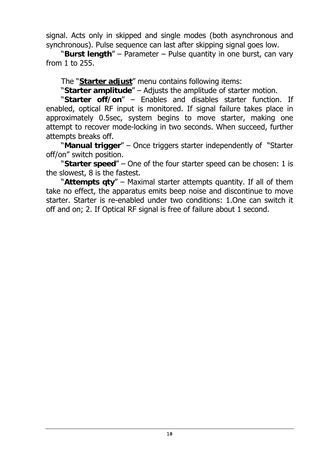signal. Acts only in skipped and single modes (both asynchronous and synchronous). Pulse sequence can last after skipping signal goes low.

"**Burst length**" – Parameter – Pulse quantity in one burst, can vary from 1 to 255.

The "**Starter adjust**" menu contains following items:

"**Starter amplitude**" – Adjusts the amplitude of starter motion.

"**Starter off/on**" – Enables and disables starter function. If enabled, optical RF input is monitored. If signal failure takes place in approximately 0.5sec, system begins to move starter, making one attempt to recover mode-locking in two seconds. When succeed, further attempts breaks off.

"**Manual trigger**" – Once triggers starter independently of "Starter off/on" switch position.

"**Starter speed**" – One of the four starter speed can be chosen: 1 is the slowest, 8 is the fastest.

"**Attempts qty**" – Maximal starter attempts quantity. If all of them take no effect, the apparatus emits beep noise and discontinue to move starter. Starter is re-enabled under two conditions: 1.One can switch it off and on; 2. If Optical RF signal is free of failure about 1 second.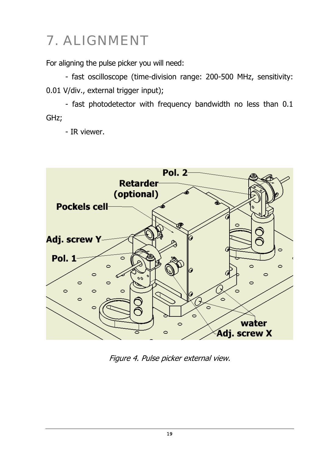# 7. ALIGNMENT

For aligning the pulse picker you will need:

- fast oscilloscope (time-division range: 200-500 MHz, sensitivity: 0.01 V/div., external trigger input);

- fast photodetector with frequency bandwidth no less than 0.1 GHz;

- IR viewer.



Figure 4. Pulse picker external view.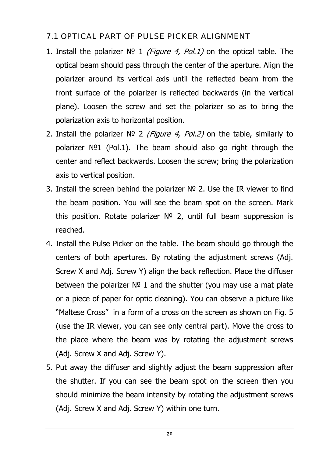### 7.1 OPTICAL PART OF PULSE PICKER ALIGNMENT

- 1. Install the polarizer  $N^{\circ}$  1 (Figure 4, Pol.1) on the optical table. The optical beam should pass through the center of the aperture. Align the polarizer around its vertical axis until the reflected beam from the front surface of the polarizer is reflected backwards (in the vertical plane). Loosen the screw and set the polarizer so as to bring the polarization axis to horizontal position.
- 2. Install the polarizer  $N^{\circ}$  2 (Figure 4, Pol.2) on the table, similarly to polarizer №1 (Pol.1). The beam should also go right through the center and reflect backwards. Loosen the screw; bring the polarization axis to vertical position.
- 3. Install the screen behind the polarizer № 2. Use the IR viewer to find the beam position. You will see the beam spot on the screen. Mark this position. Rotate polarizer № 2, until full beam suppression is reached.
- 4. Install the Pulse Picker on the table. The beam should go through the centers of both apertures. By rotating the adjustment screws (Adj. Screw X and Adj. Screw Y) align the back reflection. Place the diffuser between the polarizer  $N^{\circ}$  1 and the shutter (you may use a mat plate or a piece of paper for optic cleaning). You can observe a picture like "Maltese Cross" in a form of a cross on the screen as shown on Fig. 5 (use the IR viewer, you can see only central part). Move the cross to the place where the beam was by rotating the adjustment screws (Adj. Screw X and Adj. Screw Y).
- 5. Put away the diffuser and slightly adjust the beam suppression after the shutter. If you can see the beam spot on the screen then you should minimize the beam intensity by rotating the adjustment screws (Adj. Screw X and Adj. Screw Y) within one turn.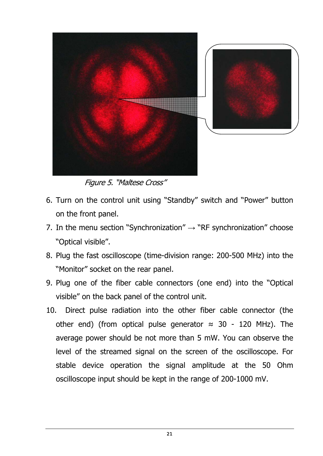

Figure 5. "Maltese Cross"

- 6. Turn on the control unit using "Standby" switch and "Power" button on the front panel.
- 7. In the menu section "Synchronization"  $\rightarrow$  "RF synchronization" choose "Optical visible".
- 8. Plug the fast oscilloscope (time-division range: 200-500 MHz) into the "Monitor" socket on the rear panel.
- 9. Plug one of the fiber cable connectors (one end) into the "Optical visible" on the back panel of the control unit.
- 10. Direct pulse radiation into the other fiber cable connector (the other end) (from optical pulse generator  $\approx$  30 - 120 MHz). The average power should be not more than 5 mW. You can observe the level of the streamed signal on the screen of the oscilloscope. For stable device operation the signal amplitude at the 50 Ohm oscilloscope input should be kept in the range of 200-1000 mV.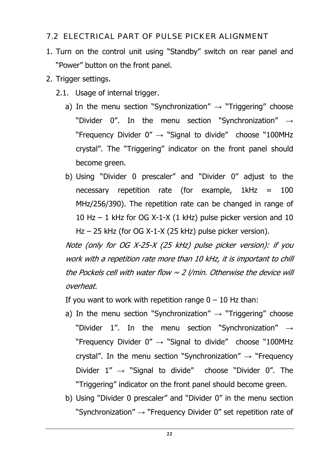### 7.2 ELECTRICAL PART OF PULSE PICKER ALIGNMENT

- 1. Turn on the control unit using "Standby" switch on rear panel and "Power" button on the front panel.
- 2. Trigger settings.
	- 2.1. Usage of internal trigger.
		- a) In the menu section "Synchronization"  $\rightarrow$  "Triggering" choose "Divider 0". In the menu section "Synchronization"  $\rightarrow$ "Frequency Divider  $0'' \rightarrow$  "Signal to divide" choose "100MHz crystal". The "Triggering" indicator on the front panel should become green.
		- b) Using "Divider 0 prescaler" and "Divider 0" adjust to the necessary repetition rate (for example,  $1kHz = 100$ MHz/256/390). The repetition rate can be changed in range of 10 Hz – 1 kHz for OG X-1-X (1 kHz) pulse picker version and 10 Hz – 25 kHz (for OG X-1-X (25 kHz) pulse picker version).

Note (only for OG X-25-X (25 kHz) pulse picker version): if you work with a repetition rate more than 10 kHz, it is important to chill the Pockels cell with water flow  $\sim$  2 I/min. Otherwise the device will overheat.

If you want to work with repetition range  $0 - 10$  Hz than:

- a) In the menu section "Synchronization"  $\rightarrow$  "Triggering" choose "Divider 1". In the menu section "Synchronization"  $\rightarrow$ "Frequency Divider  $0'' \rightarrow$  "Signal to divide" choose "100MHz crystal". In the menu section "Synchronization"  $\rightarrow$  "Frequency Divider  $1'' \rightarrow$  "Signal to divide" choose "Divider 0". The "Triggering" indicator on the front panel should become green.
- b) Using "Divider 0 prescaler" and "Divider 0" in the menu section "Synchronization"  $\rightarrow$  "Frequency Divider 0" set repetition rate of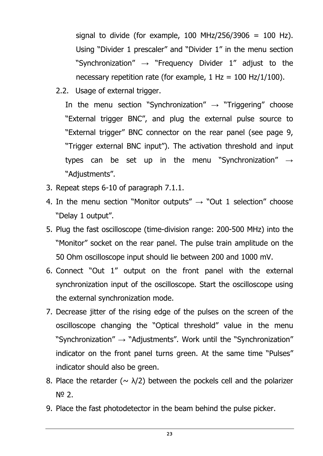signal to divide (for example, 100 MHz/256/3906 = 100 Hz). Using "Divider 1 prescaler" and "Divider 1" in the menu section "Synchronization"  $\rightarrow$  "Frequency Divider 1" adjust to the necessary repetition rate (for example,  $1 \text{ Hz} = 100 \text{ Hz}/1/100$ ).

2.2. Usage of external trigger.

In the menu section "Synchronization"  $\rightarrow$  "Triggering" choose "External trigger BNC", and plug the external pulse source to "External trigger" BNC connector on the rear panel (see page 9, "Trigger external BNC input"). The activation threshold and input types can be set up in the menu "Synchronization"  $\rightarrow$ "Adjustments".

- 3. Repeat steps 6-10 of paragraph 7.1.1.
- 4. In the menu section "Monitor outputs"  $\rightarrow$  "Out 1 selection" choose "Delay 1 output".
- 5. Plug the fast oscilloscope (time-division range: 200-500 MHz) into the "Monitor" socket on the rear panel. The pulse train amplitude on the 50 Ohm oscilloscope input should lie between 200 and 1000 mV.
- 6. Connect "Out 1" output on the front panel with the external synchronization input of the oscilloscope. Start the oscilloscope using the external synchronization mode.
- 7. Decrease jitter of the rising edge of the pulses on the screen of the oscilloscope changing the "Optical threshold" value in the menu "Synchronization"  $\rightarrow$  "Adjustments". Work until the "Synchronization" indicator on the front panel turns green. At the same time "Pulses" indicator should also be green.
- 8. Place the retarder ( $\sim \lambda/2$ ) between the pockels cell and the polarizer № 2.
- 9. Place the fast photodetector in the beam behind the pulse picker.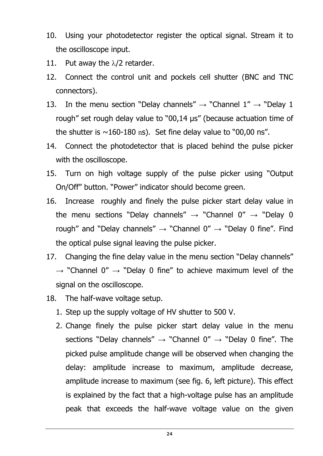- 10. Using your photodetector register the optical signal. Stream it to the oscilloscope input.
- 11. Put away the  $\lambda/2$  retarder.
- 12. Connect the control unit and pockels cell shutter (BNC and TNC connectors).
- 13. In the menu section "Delay channels"  $\rightarrow$  "Channel 1"  $\rightarrow$  "Delay 1 rough" set rough delay value to "00,14 µs" (because actuation time of the shutter is  $\sim$ 160-180 ns). Set fine delay value to "00,00 ns".
- 14. Connect the photodetector that is placed behind the pulse picker with the oscilloscope.
- 15. Turn on high voltage supply of the pulse picker using "Output On/Off" button. "Power" indicator should become green.
- 16. Increase roughly and finely the pulse picker start delay value in the menu sections "Delay channels"  $\rightarrow$  "Channel 0"  $\rightarrow$  "Delay 0 rough" and "Delay channels"  $\rightarrow$  "Channel 0"  $\rightarrow$  "Delay 0 fine". Find the optical pulse signal leaving the pulse picker.
- 17. Changing the fine delay value in the menu section "Delay channels"  $\rightarrow$  "Channel 0"  $\rightarrow$  "Delay 0 fine" to achieve maximum level of the signal on the oscilloscope.
- 18. The half-wave voltage setup.
	- 1. Step up the supply voltage of HV shutter to 500 V.
	- 2. Change finely the pulse picker start delay value in the menu sections "Delay channels"  $\rightarrow$  "Channel 0"  $\rightarrow$  "Delay 0 fine". The picked pulse amplitude change will be observed when changing the delay: amplitude increase to maximum, amplitude decrease, amplitude increase to maximum (see fig. 6, left picture). This effect is explained by the fact that a high-voltage pulse has an amplitude peak that exceeds the half-wave voltage value on the given